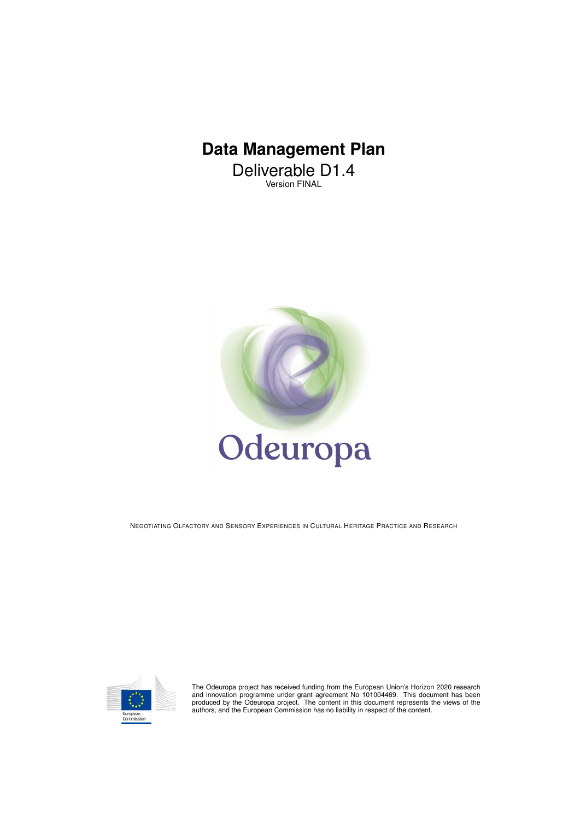# **Data Management Plan**

Deliverable D1.4 Version FINAL



NEGOTIATING OLFACTORY AND SENSORY EXPERIENCES IN CULTURAL HERITAGE PRACTICE AND RESEARCH



The Odeuropa project has received funding from the European Union's Horizon 2020 research<br>and innovation programme under grant agreement No 101004469. This document has been<br>produced by the Odeuropa project. The content in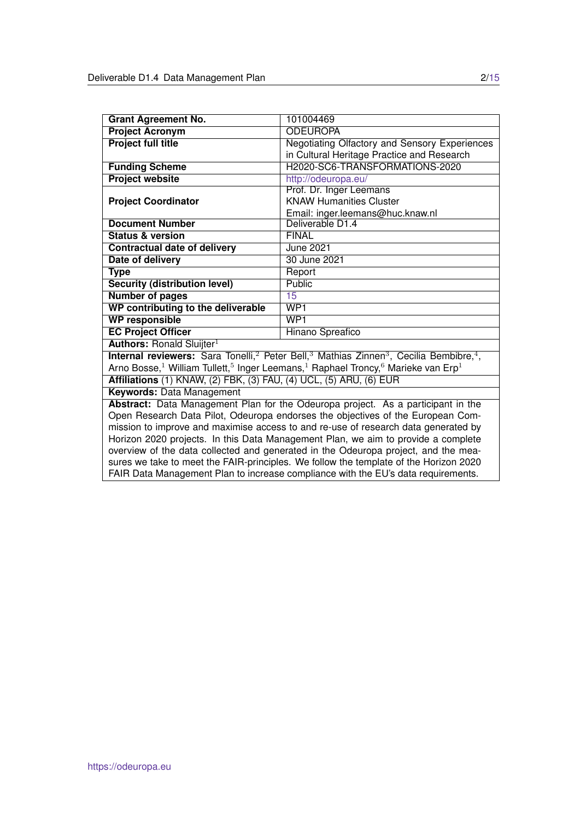| <b>Grant Agreement No.</b>                                                            | 101004469                                                                                                                                     |  |  |  |  |
|---------------------------------------------------------------------------------------|-----------------------------------------------------------------------------------------------------------------------------------------------|--|--|--|--|
| <b>Project Acronym</b>                                                                | <b>ODEUROPA</b>                                                                                                                               |  |  |  |  |
| <b>Project full title</b>                                                             | Negotiating Olfactory and Sensory Experiences                                                                                                 |  |  |  |  |
|                                                                                       | in Cultural Heritage Practice and Research                                                                                                    |  |  |  |  |
| <b>Funding Scheme</b>                                                                 | H2020-SC6-TRANSFORMATIONS-2020                                                                                                                |  |  |  |  |
| <b>Project website</b>                                                                | http://odeuropa.eu/                                                                                                                           |  |  |  |  |
|                                                                                       | Prof. Dr. Inger Leemans                                                                                                                       |  |  |  |  |
| <b>Project Coordinator</b>                                                            | <b>KNAW Humanities Cluster</b>                                                                                                                |  |  |  |  |
|                                                                                       | Email: inger.leemans@huc.knaw.nl                                                                                                              |  |  |  |  |
| <b>Document Number</b>                                                                | Deliverable D1.4                                                                                                                              |  |  |  |  |
| <b>Status &amp; version</b>                                                           | <b>FINAL</b>                                                                                                                                  |  |  |  |  |
| <b>Contractual date of delivery</b>                                                   | <b>June 2021</b>                                                                                                                              |  |  |  |  |
| Date of delivery                                                                      | 30 June 2021                                                                                                                                  |  |  |  |  |
| <b>Type</b>                                                                           | Report                                                                                                                                        |  |  |  |  |
| <b>Security (distribution level)</b>                                                  | <b>Public</b>                                                                                                                                 |  |  |  |  |
| <b>Number of pages</b>                                                                | 15                                                                                                                                            |  |  |  |  |
| WP contributing to the deliverable                                                    | WPI                                                                                                                                           |  |  |  |  |
| <b>WP responsible</b>                                                                 | WP <sub>1</sub>                                                                                                                               |  |  |  |  |
| <b>EC Project Officer</b>                                                             | <b>Hinano Spreafico</b>                                                                                                                       |  |  |  |  |
| <b>Authors: Ronald Sluijter</b> <sup>1</sup>                                          |                                                                                                                                               |  |  |  |  |
|                                                                                       | <b>Internal reviewers:</b> Sara Tonelli, <sup>2</sup> Peter Bell, <sup>3</sup> Mathias Zinnen <sup>3</sup> , Cecilia Bembibre, <sup>4</sup> , |  |  |  |  |
|                                                                                       | Arno Bosse, <sup>1</sup> William Tullett, <sup>5</sup> Inger Leemans, <sup>1</sup> Raphael Troncy, <sup>6</sup> Marieke van Erp <sup>1</sup>  |  |  |  |  |
| Affiliations (1) KNAW, (2) FBK, (3) FAU, (4) UCL, (5) ARU, (6) EUR                    |                                                                                                                                               |  |  |  |  |
| <b>Keywords: Data Management</b>                                                      |                                                                                                                                               |  |  |  |  |
| Abstract: Data Management Plan for the Odeuropa project. As a participant in the      |                                                                                                                                               |  |  |  |  |
| Open Research Data Pilot, Odeuropa endorses the objectives of the European Com-       |                                                                                                                                               |  |  |  |  |
| mission to improve and maximise access to and re-use of research data generated by    |                                                                                                                                               |  |  |  |  |
| Horizon 2020 projects. In this Data Management Plan, we aim to provide a complete     |                                                                                                                                               |  |  |  |  |
| overview of the data collected and generated in the Odeuropa project, and the mea-    |                                                                                                                                               |  |  |  |  |
| sures we take to meet the FAIR-principles. We follow the template of the Horizon 2020 |                                                                                                                                               |  |  |  |  |
| FAIR Data Management Plan to increase compliance with the EU's data requirements.     |                                                                                                                                               |  |  |  |  |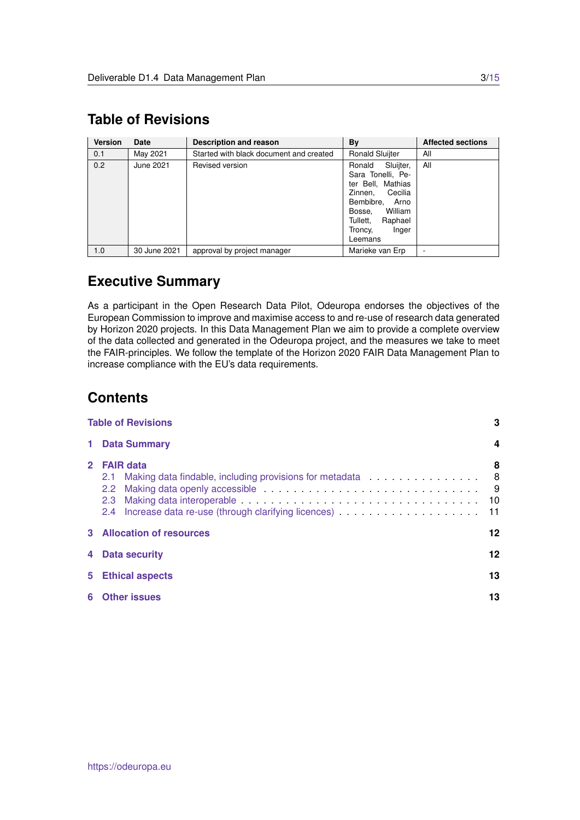## <span id="page-2-0"></span>**Table of Revisions**

| <b>Version</b> | Date         | <b>Description and reason</b>                                     | By                                                                                                                                                                               | <b>Affected sections</b> |
|----------------|--------------|-------------------------------------------------------------------|----------------------------------------------------------------------------------------------------------------------------------------------------------------------------------|--------------------------|
| 0.1            | May 2021     | Started with black document and created<br><b>Ronald Sluijter</b> |                                                                                                                                                                                  | All                      |
| 0.2            | June 2021    | Revised version                                                   | Sluijter,<br>Ronald<br>Sara Tonelli, Pe-<br>ter Bell, Mathias<br>Cecilia<br>Zinnen,<br>Bembibre, Arno<br>William<br>Bosse.<br>Tullett,<br>Raphael<br>Troncy,<br>Inger<br>Leemans | All                      |
| 1.0            | 30 June 2021 | approval by project manager                                       | Marieke van Erp                                                                                                                                                                  |                          |

## **Executive Summary**

As a participant in the Open Research Data Pilot, Odeuropa endorses the objectives of the European Commission to improve and maximise access to and re-use of research data generated by Horizon 2020 projects. In this Data Management Plan we aim to provide a complete overview of the data collected and generated in the Odeuropa project, and the measures we take to meet the FAIR-principles. We follow the template of the Horizon 2020 FAIR Data Management Plan to increase compliance with the EU's data requirements.

## **Contents**

|       | 3<br><b>Table of Revisions</b>                                                                                                                                    |                       |  |  |  |  |  |
|-------|-------------------------------------------------------------------------------------------------------------------------------------------------------------------|-----------------------|--|--|--|--|--|
| 1     | <b>Data Summary</b>                                                                                                                                               | 4                     |  |  |  |  |  |
|       | 2 FAIR data<br>Making data findable, including provisions for metadata 8<br>2.1<br>$2.2^{\circ}$<br>2.3<br>2.4 Increase data re-use (through clarifying licences) | 8<br>- 9<br>10<br>-11 |  |  |  |  |  |
| 3     | <b>Allocation of resources</b><br>12                                                                                                                              |                       |  |  |  |  |  |
|       | 12<br>4 Data security                                                                                                                                             |                       |  |  |  |  |  |
| $5 -$ | <b>Ethical aspects</b>                                                                                                                                            | 13                    |  |  |  |  |  |
| 6     | <b>Other issues</b>                                                                                                                                               | 13                    |  |  |  |  |  |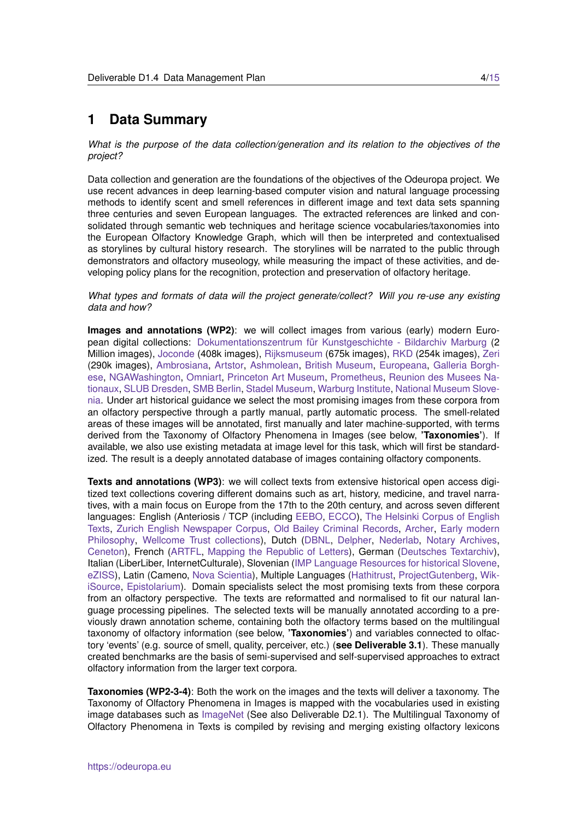### <span id="page-3-0"></span>**1 Data Summary**

*What is the purpose of the data collection/generation and its relation to the objectives of the project?*

Data collection and generation are the foundations of the objectives of the Odeuropa project. We use recent advances in deep learning-based computer vision and natural language processing methods to identify scent and smell references in different image and text data sets spanning three centuries and seven European languages. The extracted references are linked and consolidated through semantic web techniques and heritage science vocabularies/taxonomies into the European Olfactory Knowledge Graph, which will then be interpreted and contextualised as storylines by cultural history research. The storylines will be narrated to the public through demonstrators and olfactory museology, while measuring the impact of these activities, and developing policy plans for the recognition, protection and preservation of olfactory heritage.

#### *What types and formats of data will the project generate/collect? Will you re-use any existing data and how?*

**Images and annotations (WP2)**: we will collect images from various (early) modern European digital collections: Dokumentationszentrum für Kunstgeschichte - Bildarchiv Marburg (2) Million images), [Joconde](https://www.culture.gouv.fr/Sites-thematiques/Musees/Les-musees-en-France/Les-collections-des-musees-de-France/Joconde-catalogue-collectif-des-collections-des-musees-de-France) (408k images), [Rijksmuseum](https://www.rijksmuseum.nl/nl/zoeken) (675k images), [RKD](https://rkd.nl/nl/) (254k images), [Zeri](https://fondazionezeri.unibo.it/en/photo-archive/zeri-collection) (290k images), [Ambrosiana,](https://www.ambrosiana.it/en/discover/) [Artstor,](https://www.artstor.org) [Ashmolean,](https://collections.ashmolean.org) [British Museum,](https://www.britishmuseum.org/collection) [Europeana,](https://classic.europeana.eu/portal/nl/collections/art) [Galleria Borgh](https://galleriaborghese.beniculturali.it/en/il-museo/la-collezione/)[ese,](https://galleriaborghese.beniculturali.it/en/il-museo/la-collezione/) [NGAWashington,](https://www.nga.gov/collection/collection-search.html) [Omniart,](https://vistory-omniart.com) [Princeton Art Museum,](https://artmuseum.princeton.edu/collections) [Prometheus,](https://prometheus-bildarchiv.de/en/prometheus/index) [Reunion des Musees Na](https://www.rmngp.fr)[tionaux,](https://www.rmngp.fr) [SLUB Dresden,](https://digital.slub-dresden.de/kollektionen) [SMB Berlin,](https://www.smb.museum/en/museums-institutions/collections) [Stadel Museum,](https://sammlung.staedelmuseum.de/en) [Warburg Institute,](https://warburg.sas.ac.uk/library-collections) [National Museum Slove](https://www.nms.si/en/collections)[nia.](https://www.nms.si/en/collections) Under art historical guidance we select the most promising images from these corpora from an olfactory perspective through a partly manual, partly automatic process. The smell-related areas of these images will be annotated, first manually and later machine-supported, with terms derived from the Taxonomy of Olfactory Phenomena in Images (see below, **'Taxonomies'**). If available, we also use existing metadata at image level for this task, which will first be standardized. The result is a deeply annotated database of images containing olfactory components.

**Texts and annotations (WP3)**: we will collect texts from extensive historical open access digitized text collections covering different domains such as art, history, medicine, and travel narratives, with a main focus on Europe from the 17th to the 20th century, and across seven different languages: English (Anteriosis / TCP (including [EEBO,](https://quod.lib.umich.edu/e/eebogroup/) [ECCO\)](https://www.gale.com/intl/primary-sources/eighteenth-century-collections-online), [The Helsinki Corpus of English](http://icame.uib.no/hc/) [Texts,](http://icame.uib.no/hc/) [Zurich English Newspaper Corpus,](https://varieng.helsinki.fi/CoRD/) [Old Bailey Criminal Records,](https://www.oldbaileyonline.org) [Archer,](https://www.projects.alc.manchester.ac.uk/archer/) [Early modern](https://www.earlymoderntexts.com) [Philosophy,](https://www.earlymoderntexts.com) [Wellcome Trust collections\)](https://wellcomelibrary.org/collections//), Dutch [\(DBNL,](https://www.dbnl.org) [Delpher,](https://www.delpher.nl) [Nederlab,](https://www.nederlab.nl/onderzoeksportaal/?action=verkennen) [Notary Archives,](https://transkribus.eu/r/amsterdam-city-archives/#/) [Ceneton\)](https://www.let.leidenuniv.nl/Dutch/Ceneton/), French [\(ARTFL,](https://artfl-project.uchicago.edu) [Mapping the Republic of Letters\)](http://republicofletters.stanford.edu), German [\(Deutsches Textarchiv\)](https://www.deutschestextarchiv.de), Italian (LiberLiber, InternetCulturale), Slovenian [\(IMP Language Resources for historical Slovene,](https://nl.ijs.si/imp/index-en.html) [eZISS\)](http://nl.ijs.si/e-zrc/), Latin (Cameno, [Nova Scientia\)](https://www.uibk.ac.at/projects/noscemus/), Multiple Languages [\(Hathitrust,](https://www.hathitrust.org) [ProjectGutenberg,](https://www.gutenberg.org) [Wik](https://wikisource.org/wiki/Main_Page)[iSource,](https://wikisource.org/wiki/Main_Page) [Epistolarium\)](http://ckcc.huygens.knaw.nl/epistolarium/). Domain specialists select the most promising texts from these corpora from an olfactory perspective. The texts are reformatted and normalised to fit our natural language processing pipelines. The selected texts will be manually annotated according to a previously drawn annotation scheme, containing both the olfactory terms based on the multilingual taxonomy of olfactory information (see below, **'Taxonomies'**) and variables connected to olfactory 'events' (e.g. source of smell, quality, perceiver, etc.) (**see Deliverable 3.1**). These manually created benchmarks are the basis of semi-supervised and self-supervised approaches to extract olfactory information from the larger text corpora.

**Taxonomies (WP2-3-4)**: Both the work on the images and the texts will deliver a taxonomy. The Taxonomy of Olfactory Phenomena in Images is mapped with the vocabularies used in existing image databases such as [ImageNet](https://www.image-net.org) (See also Deliverable D2.1). The Multilingual Taxonomy of Olfactory Phenomena in Texts is compiled by revising and merging existing olfactory lexicons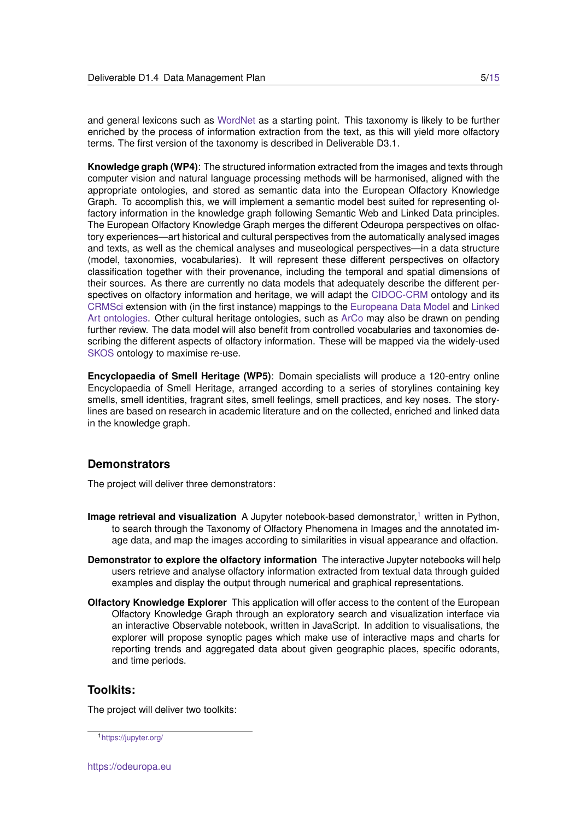and general lexicons such as [WordNet](https://wordnet.princeton.edu) as a starting point. This taxonomy is likely to be further enriched by the process of information extraction from the text, as this will yield more olfactory terms. The first version of the taxonomy is described in Deliverable D3.1.

**Knowledge graph (WP4)**: The structured information extracted from the images and texts through computer vision and natural language processing methods will be harmonised, aligned with the appropriate ontologies, and stored as semantic data into the European Olfactory Knowledge Graph. To accomplish this, we will implement a semantic model best suited for representing olfactory information in the knowledge graph following Semantic Web and Linked Data principles. The European Olfactory Knowledge Graph merges the different Odeuropa perspectives on olfactory experiences—art historical and cultural perspectives from the automatically analysed images and texts, as well as the chemical analyses and museological perspectives—in a data structure (model, taxonomies, vocabularies). It will represent these different perspectives on olfactory classification together with their provenance, including the temporal and spatial dimensions of their sources. As there are currently no data models that adequately describe the different perspectives on olfactory information and heritage, we will adapt the [CIDOC-CRM](http://www.cidoc-crm.org) ontology and its [CRMSci](http://www.cidoc-crm.org/crmsci/home-1) extension with (in the first instance) mappings to the [Europeana Data Model](https://pro.europeana.eu/page/edm-documentation) and [Linked](https://linked.art) [Art ontologies.](https://linked.art) Other cultural heritage ontologies, such as [ArCo](http://wit.istc.cnr.it/arco) may also be drawn on pending further review. The data model will also benefit from controlled vocabularies and taxonomies describing the different aspects of olfactory information. These will be mapped via the widely-used [SKOS](https://www.w3.org/2004/02/skos/) ontology to maximise re-use.

**Encyclopaedia of Smell Heritage (WP5)**: Domain specialists will produce a 120-entry online Encyclopaedia of Smell Heritage, arranged according to a series of storylines containing key smells, smell identities, fragrant sites, smell feelings, smell practices, and key noses. The storylines are based on research in academic literature and on the collected, enriched and linked data in the knowledge graph.

### **Demonstrators**

The project will deliver three demonstrators:

- **Image retrieval and visualization** A Jupyter notebook-based demonstrator,<sup>[1](#page-4-0)</sup> written in Python, to search through the Taxonomy of Olfactory Phenomena in Images and the annotated image data, and map the images according to similarities in visual appearance and olfaction.
- **Demonstrator to explore the olfactory information** The interactive Jupyter notebooks will help users retrieve and analyse olfactory information extracted from textual data through guided examples and display the output through numerical and graphical representations.
- **Olfactory Knowledge Explorer** This application will offer access to the content of the European Olfactory Knowledge Graph through an exploratory search and visualization interface via an interactive Observable notebook, written in JavaScript. In addition to visualisations, the explorer will propose synoptic pages which make use of interactive maps and charts for reporting trends and aggregated data about given geographic places, specific odorants, and time periods.

### **Toolkits:**

The project will deliver two toolkits:

<span id="page-4-0"></span><sup>1</sup><https://jupyter.org/>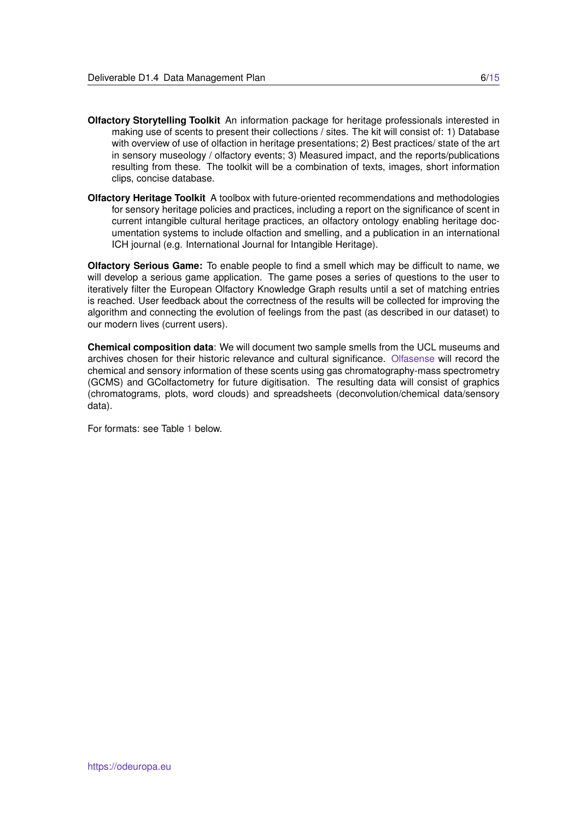- **Olfactory Storytelling Toolkit** An information package for heritage professionals interested in making use of scents to present their collections / sites. The kit will consist of: 1) Database with overview of use of olfaction in heritage presentations; 2) Best practices/ state of the art in sensory museology / olfactory events; 3) Measured impact, and the reports/publications resulting from these. The toolkit will be a combination of texts, images, short information clips, concise database.
- **Olfactory Heritage Toolkit** A toolbox with future-oriented recommendations and methodologies for sensory heritage policies and practices, including a report on the significance of scent in current intangible cultural heritage practices, an olfactory ontology enabling heritage documentation systems to include olfaction and smelling, and a publication in an international ICH journal (e.g. International Journal for Intangible Heritage).

**Olfactory Serious Game:** To enable people to find a smell which may be difficult to name, we will develop a serious game application. The game poses a series of questions to the user to iteratively filter the European Olfactory Knowledge Graph results until a set of matching entries is reached. User feedback about the correctness of the results will be collected for improving the algorithm and connecting the evolution of feelings from the past (as described in our dataset) to our modern lives (current users).

**Chemical composition data**: We will document two sample smells from the UCL museums and archives chosen for their historic relevance and cultural significance. [Olfasense](https://www.olfasense.com) will record the chemical and sensory information of these scents using gas chromatography-mass spectrometry (GCMS) and GColfactometry for future digitisation. The resulting data will consist of graphics (chromatograms, plots, word clouds) and spreadsheets (deconvolution/chemical data/sensory data).

For formats: see Table [1](#page-6-0) below.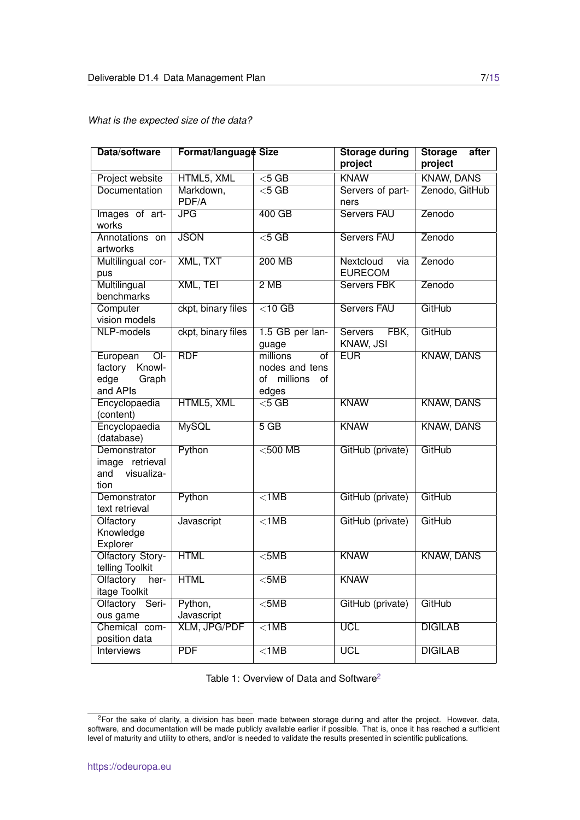| Data/software                                                             | Format/language Size  |                                                                   | <b>Storage during</b><br>project    | <b>Storage</b><br>after<br>project |
|---------------------------------------------------------------------------|-----------------------|-------------------------------------------------------------------|-------------------------------------|------------------------------------|
|                                                                           | HTML5, XML            | $<$ 5 GB                                                          | <b>KNAW</b>                         | <b>KNAW, DANS</b>                  |
| Project website<br><b>Documentation</b>                                   | Markdown,             | $<$ 5 GB                                                          | Servers of part-                    | Zenodo, GitHub                     |
|                                                                           | PDF/A                 |                                                                   | ners                                |                                    |
| Images of art-<br>works                                                   | JPG                   | 400 GB                                                            | <b>Servers FAU</b>                  | Zenodo                             |
| Annotations on<br>artworks                                                | <b>JSON</b>           | $<$ 5 GB                                                          | <b>Servers FAU</b>                  | Zenodo                             |
| Multilingual cor-<br>pus                                                  | XML, TXT              | <b>200 MB</b>                                                     | Nextcloud<br>via<br><b>EURECOM</b>  | Zenodo                             |
| Multilingual<br>benchmarks                                                | XML, TEI              | 2MB                                                               | <b>Servers FBK</b>                  | Zenodo                             |
| Computer<br>vision models                                                 | ckpt, binary files    | $\overline{<}$ 10 GB                                              | <b>Servers FAU</b>                  | GitHub                             |
| NLP-models                                                                | ckpt, binary files    | 1.5 GB per lan-<br>guage                                          | <b>Servers</b><br>FBK,<br>KNAW, JSI | GitHub                             |
| European<br>$\overline{O}$<br>factory Knowl-<br>edge<br>Graph<br>and APIs | <b>RDF</b>            | millions<br>of<br>nodes and tens<br>millions<br>of<br>of<br>edges | <b>EUR</b>                          | <b>KNAW, DANS</b>                  |
| Encyclopaedia<br>(content)                                                | HTML5, XML            | $<$ 5 GB                                                          | <b>KNAW</b>                         | <b>KNAW, DANS</b>                  |
| Encyclopaedia<br>(database)                                               | <b>MySQL</b>          | 5 <sub>GB</sub>                                                   | <b>KNAW</b>                         | <b>KNAW, DANS</b>                  |
| Demonstrator<br>image retrieval<br>visualiza-<br>and<br>tion              | Python                | $<$ 500 MB                                                        | GitHub (private)                    | GitHub                             |
| Demonstrator<br>text retrieval                                            | Python                | $\overline{$ 1MB                                                  | GitHub (private)                    | GitHub                             |
| Olfactory<br>Knowledge<br>Explorer                                        | Javascript            | $\overline{$ 1MB                                                  | GitHub (private)                    | GitHub                             |
| <b>Olfactory Story-</b><br>telling Toolkit                                | <b>HTML</b>           | $5MB$                                                             | <b>KNAW</b>                         | <b>KNAW, DANS</b>                  |
| Olfactory<br>her-<br>itage Toolkit                                        | <b>HTML</b>           | $5MB$                                                             | <b>KNAW</b>                         |                                    |
| Olfactory Seri-<br>ous game                                               | Python,<br>Javascript | $5MB$                                                             | GitHub (private)                    | GitHub                             |
| Chemical com-<br>position data                                            | <b>XLM, JPG/PDF</b>   | $<$ 1MB                                                           | <b>UCL</b>                          | <b>DIGILAB</b>                     |
| <b>Interviews</b>                                                         | <b>PDF</b>            | $\overline{$ 1MB                                                  | <b>UCL</b>                          | <b>DIGILAB</b>                     |

*What is the expected size of the data?*

<span id="page-6-0"></span>Table 1: Overview of Data and Software<sup>[2](#page-6-1)</sup>

<span id="page-6-1"></span><sup>&</sup>lt;sup>2</sup>For the sake of clarity, a division has been made between storage during and after the project. However, data, software, and documentation will be made publicly available earlier if possible. That is, once it has reached a sufficient level of maturity and utility to others, and/or is needed to validate the results presented in scientific publications.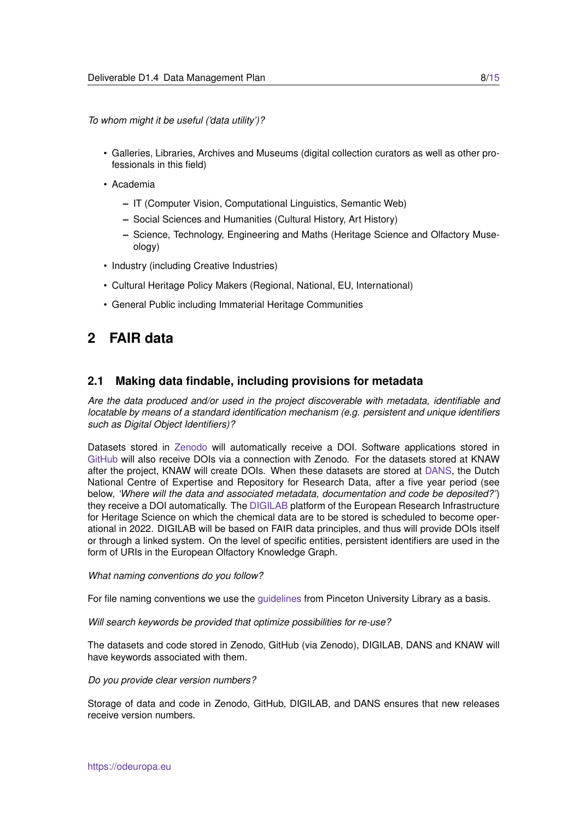*To whom might it be useful ('data utility')?*

- Galleries, Libraries, Archives and Museums (digital collection curators as well as other professionals in this field)
- Academia
	- **–** IT (Computer Vision, Computational Linguistics, Semantic Web)
	- **–** Social Sciences and Humanities (Cultural History, Art History)
	- **–** Science, Technology, Engineering and Maths (Heritage Science and Olfactory Museology)
- Industry (including Creative Industries)
- Cultural Heritage Policy Makers (Regional, National, EU, International)
- General Public including Immaterial Heritage Communities

## <span id="page-7-0"></span>**2 FAIR data**

### <span id="page-7-1"></span>**2.1 Making data findable, including provisions for metadata**

*Are the data produced and/or used in the project discoverable with metadata, identifiable and locatable by means of a standard identification mechanism (e.g. persistent and unique identifiers such as Digital Object Identifiers)?*

Datasets stored in [Zenodo](https://zenodo.org) will automatically receive a DOI. Software applications stored in [GitHub](https://github.com) will also receive DOIs via a connection with Zenodo. For the datasets stored at KNAW after the project, KNAW will create DOIs. When these datasets are stored at [DANS,](https://dans.knaw.nl/en/front-page) the Dutch National Centre of Expertise and Repository for Research Data, after a five year period (see below, *'Where will the data and associated metadata, documentation and code be deposited?'*) they receive a DOI automatically. The [DIGILAB](https://www.e-rihs.gr/digilab/) platform of the European Research Infrastructure for Heritage Science on which the chemical data are to be stored is scheduled to become operational in 2022. DIGILAB will be based on FAIR data principles, and thus will provide DOIs itself or through a linked system. On the level of specific entities, persistent identifiers are used in the form of URIs in the European Olfactory Knowledge Graph.

#### *What naming conventions do you follow?*

For file naming conventions we use the [guidelines](https://libguides.princeton.edu/c.php?g=102546&p=930626) from Pinceton University Library as a basis.

*Will search keywords be provided that optimize possibilities for re-use?*

The datasets and code stored in Zenodo, GitHub (via Zenodo), DIGILAB, DANS and KNAW will have keywords associated with them.

#### *Do you provide clear version numbers?*

Storage of data and code in Zenodo, GitHub, DIGILAB, and DANS ensures that new releases receive version numbers.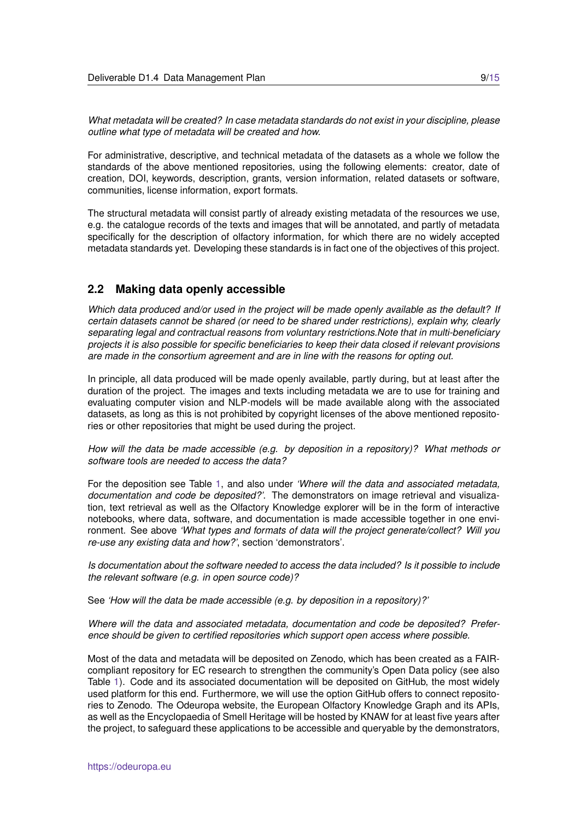*What metadata will be created? In case metadata standards do not exist in your discipline, please outline what type of metadata will be created and how.*

For administrative, descriptive, and technical metadata of the datasets as a whole we follow the standards of the above mentioned repositories, using the following elements: creator, date of creation, DOI, keywords, description, grants, version information, related datasets or software, communities, license information, export formats.

The structural metadata will consist partly of already existing metadata of the resources we use, e.g. the catalogue records of the texts and images that will be annotated, and partly of metadata specifically for the description of olfactory information, for which there are no widely accepted metadata standards yet. Developing these standards is in fact one of the objectives of this project.

### <span id="page-8-0"></span>**2.2 Making data openly accessible**

*Which data produced and/or used in the project will be made openly available as the default? If certain datasets cannot be shared (or need to be shared under restrictions), explain why, clearly separating legal and contractual reasons from voluntary restrictions.Note that in multi-beneficiary projects it is also possible for specific beneficiaries to keep their data closed if relevant provisions are made in the consortium agreement and are in line with the reasons for opting out.*

In principle, all data produced will be made openly available, partly during, but at least after the duration of the project. The images and texts including metadata we are to use for training and evaluating computer vision and NLP-models will be made available along with the associated datasets, as long as this is not prohibited by copyright licenses of the above mentioned repositories or other repositories that might be used during the project.

*How will the data be made accessible (e.g. by deposition in a repository)? What methods or software tools are needed to access the data?*

For the deposition see Table [1,](#page-6-0) and also under *'Where will the data and associated metadata, documentation and code be deposited?'*. The demonstrators on image retrieval and visualization, text retrieval as well as the Olfactory Knowledge explorer will be in the form of interactive notebooks, where data, software, and documentation is made accessible together in one environment. See above *'What types and formats of data will the project generate/collect? Will you re-use any existing data and how?'*, section 'demonstrators'.

*Is documentation about the software needed to access the data included? Is it possible to include the relevant software (e.g. in open source code)?*

See *'How will the data be made accessible (e.g. by deposition in a repository)?'*

#### *Where will the data and associated metadata, documentation and code be deposited? Preference should be given to certified repositories which support open access where possible.*

Most of the data and metadata will be deposited on Zenodo, which has been created as a FAIRcompliant repository for EC research to strengthen the community's Open Data policy (see also Table [1\)](#page-6-0). Code and its associated documentation will be deposited on GitHub, the most widely used platform for this end. Furthermore, we will use the option GitHub offers to connect repositories to Zenodo. The Odeuropa website, the European Olfactory Knowledge Graph and its APIs, as well as the Encyclopaedia of Smell Heritage will be hosted by KNAW for at least five years after the project, to safeguard these applications to be accessible and queryable by the demonstrators,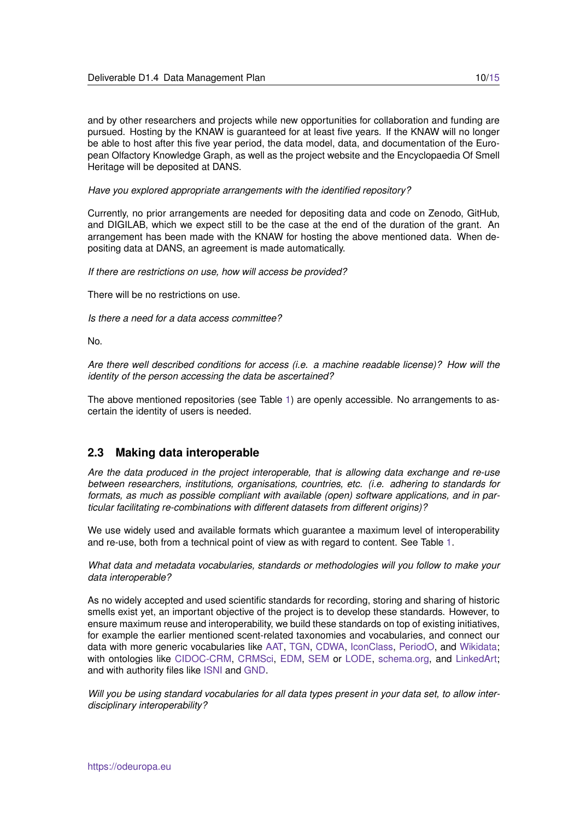and by other researchers and projects while new opportunities for collaboration and funding are pursued. Hosting by the KNAW is guaranteed for at least five years. If the KNAW will no longer be able to host after this five year period, the data model, data, and documentation of the European Olfactory Knowledge Graph, as well as the project website and the Encyclopaedia Of Smell Heritage will be deposited at DANS.

*Have you explored appropriate arrangements with the identified repository?*

Currently, no prior arrangements are needed for depositing data and code on Zenodo, GitHub, and DIGILAB, which we expect still to be the case at the end of the duration of the grant. An arrangement has been made with the KNAW for hosting the above mentioned data. When depositing data at DANS, an agreement is made automatically.

*If there are restrictions on use, how will access be provided?*

There will be no restrictions on use.

*Is there a need for a data access committee?*

No.

*Are there well described conditions for access (i.e. a machine readable license)? How will the identity of the person accessing the data be ascertained?*

The above mentioned repositories (see Table [1\)](#page-6-0) are openly accessible. No arrangements to ascertain the identity of users is needed.

### <span id="page-9-0"></span>**2.3 Making data interoperable**

*Are the data produced in the project interoperable, that is allowing data exchange and re-use between researchers, institutions, organisations, countries, etc. (i.e. adhering to standards for formats, as much as possible compliant with available (open) software applications, and in particular facilitating re-combinations with different datasets from different origins)?*

We use widely used and available formats which guarantee a maximum level of interoperability and re-use, both from a technical point of view as with regard to content. See Table [1.](#page-6-0)

*What data and metadata vocabularies, standards or methodologies will you follow to make your data interoperable?*

As no widely accepted and used scientific standards for recording, storing and sharing of historic smells exist yet, an important objective of the project is to develop these standards. However, to ensure maximum reuse and interoperability, we build these standards on top of existing initiatives, for example the earlier mentioned scent-related taxonomies and vocabularies, and connect our data with more generic vocabularies like [AAT,](https://www.getty.edu/research/tools/vocabularies/aat) [TGN,](https://www.getty.edu/research/tools/vocabularies/tgn) [CDWA,](https://www.getty.edu/research/publications/electronic_publications/cdwa) [IconClass,](http://www.iconclass.org) [PeriodO,](https://perio.do/en/) and [Wikidata;](https://www.wikidata.org/wiki/Wikidata:Main_Page) with ontologies like [CIDOC-CRM,](http://www.cidoc-crm.org) [CRMSci,](http://www.cidoc-crm.org) [EDM,](https://pro.europeana.eu/page/edm-documentation) [SEM](https://semanticweb.cs.vu.nl/2009/11/sem) or [LODE,](https://linkedevents.org/ontology) [schema.org,](https://schema.org) and [LinkedArt;](https://linked.art) and with authority files like [ISNI](https://isni.org) and [GND.](https://www.dnb.de/EN/Professionell/Standardisierung/GND/gnd)

*Will you be using standard vocabularies for all data types present in your data set, to allow interdisciplinary interoperability?*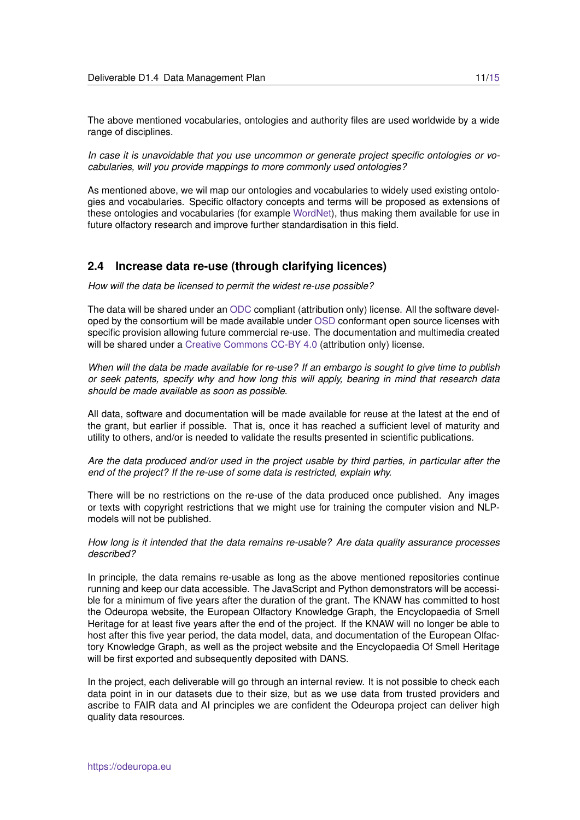The above mentioned vocabularies, ontologies and authority files are used worldwide by a wide range of disciplines.

*In case it is unavoidable that you use uncommon or generate project specific ontologies or vocabularies, will you provide mappings to more commonly used ontologies?*

As mentioned above, we wil map our ontologies and vocabularies to widely used existing ontologies and vocabularies. Specific olfactory concepts and terms will be proposed as extensions of these ontologies and vocabularies (for example [WordNet\)](https://wordnet.princeton.edu), thus making them available for use in future olfactory research and improve further standardisation in this field.

### <span id="page-10-0"></span>**2.4 Increase data re-use (through clarifying licences)**

*How will the data be licensed to permit the widest re-use possible?*

The data will be shared under an [ODC](https://opendatacommons.org) compliant (attribution only) license. All the software developed by the consortium will be made available under [OSD](https://opensource.org/osd-annotated) conformant open source licenses with specific provision allowing future commercial re-use. The documentation and multimedia created will be shared under a [Creative Commons CC-BY 4.0](https://creativecommons.org/licenses/by/4.0/) (attribution only) license.

*When will the data be made available for re-use? If an embargo is sought to give time to publish or seek patents, specify why and how long this will apply, bearing in mind that research data should be made available as soon as possible.*

All data, software and documentation will be made available for reuse at the latest at the end of the grant, but earlier if possible. That is, once it has reached a sufficient level of maturity and utility to others, and/or is needed to validate the results presented in scientific publications.

*Are the data produced and/or used in the project usable by third parties, in particular after the end of the project? If the re-use of some data is restricted, explain why.*

There will be no restrictions on the re-use of the data produced once published. Any images or texts with copyright restrictions that we might use for training the computer vision and NLPmodels will not be published.

*How long is it intended that the data remains re-usable? Are data quality assurance processes described?*

In principle, the data remains re-usable as long as the above mentioned repositories continue running and keep our data accessible. The JavaScript and Python demonstrators will be accessible for a minimum of five years after the duration of the grant. The KNAW has committed to host the Odeuropa website, the European Olfactory Knowledge Graph, the Encyclopaedia of Smell Heritage for at least five years after the end of the project. If the KNAW will no longer be able to host after this five year period, the data model, data, and documentation of the European Olfactory Knowledge Graph, as well as the project website and the Encyclopaedia Of Smell Heritage will be first exported and subsequently deposited with DANS.

In the project, each deliverable will go through an internal review. It is not possible to check each data point in in our datasets due to their size, but as we use data from trusted providers and ascribe to FAIR data and AI principles we are confident the Odeuropa project can deliver high quality data resources.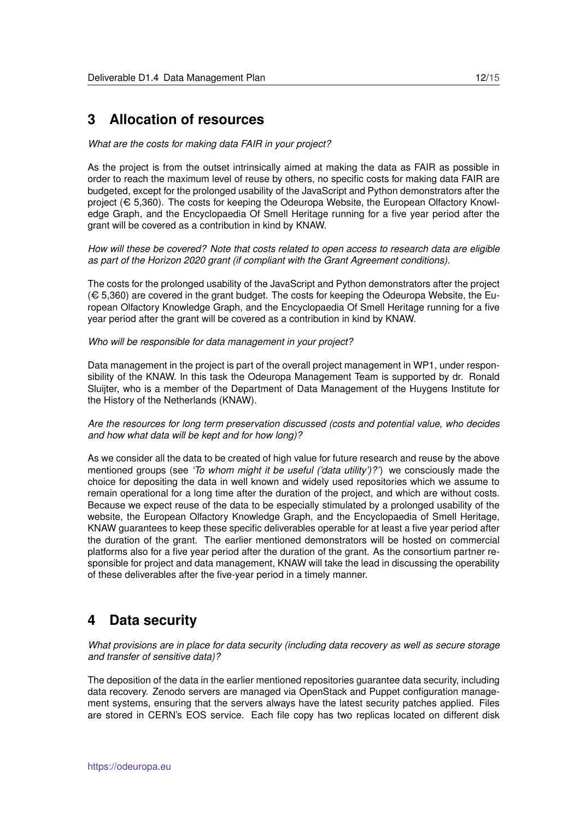### <span id="page-11-0"></span>**3 Allocation of resources**

#### *What are the costs for making data FAIR in your project?*

As the project is from the outset intrinsically aimed at making the data as FAIR as possible in order to reach the maximum level of reuse by others, no specific costs for making data FAIR are budgeted, except for the prolonged usability of the JavaScript and Python demonstrators after the project ( $\epsilon$  5,360). The costs for keeping the Odeuropa Website, the European Olfactory Knowledge Graph, and the Encyclopaedia Of Smell Heritage running for a five year period after the grant will be covered as a contribution in kind by KNAW.

*How will these be covered? Note that costs related to open access to research data are eligible as part of the Horizon 2020 grant (if compliant with the Grant Agreement conditions).*

The costs for the prolonged usability of the JavaScript and Python demonstrators after the project  $(\text{\large \Leftrightarrow 5.360})$  are covered in the grant budget. The costs for keeping the Odeuropa Website, the European Olfactory Knowledge Graph, and the Encyclopaedia Of Smell Heritage running for a five year period after the grant will be covered as a contribution in kind by KNAW.

#### *Who will be responsible for data management in your project?*

Data management in the project is part of the overall project management in WP1, under responsibility of the KNAW. In this task the Odeuropa Management Team is supported by dr. Ronald Sluijter, who is a member of the Department of Data Management of the Huygens Institute for the History of the Netherlands (KNAW).

*Are the resources for long term preservation discussed (costs and potential value, who decides and how what data will be kept and for how long)?*

As we consider all the data to be created of high value for future research and reuse by the above mentioned groups (see *'To whom might it be useful ('data utility')?'*) we consciously made the choice for depositing the data in well known and widely used repositories which we assume to remain operational for a long time after the duration of the project, and which are without costs. Because we expect reuse of the data to be especially stimulated by a prolonged usability of the website, the European Olfactory Knowledge Graph, and the Encyclopaedia of Smell Heritage, KNAW guarantees to keep these specific deliverables operable for at least a five year period after the duration of the grant. The earlier mentioned demonstrators will be hosted on commercial platforms also for a five year period after the duration of the grant. As the consortium partner responsible for project and data management, KNAW will take the lead in discussing the operability of these deliverables after the five-year period in a timely manner.

### <span id="page-11-1"></span>**4 Data security**

*What provisions are in place for data security (including data recovery as well as secure storage and transfer of sensitive data)?*

The deposition of the data in the earlier mentioned repositories guarantee data security, including data recovery. Zenodo servers are managed via OpenStack and Puppet configuration management systems, ensuring that the servers always have the latest security patches applied. Files are stored in CERN's EOS service. Each file copy has two replicas located on different disk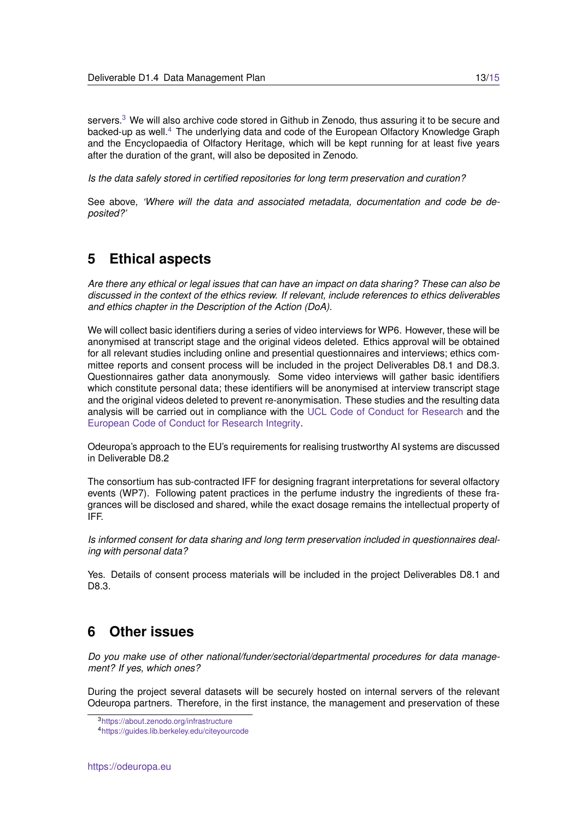servers.<sup>[3](#page-12-2)</sup> We will also archive code stored in Github in Zenodo, thus assuring it to be secure and backed-up as well.<sup>[4](#page-12-3)</sup> The underlying data and code of the European Olfactory Knowledge Graph and the Encyclopaedia of Olfactory Heritage, which will be kept running for at least five years after the duration of the grant, will also be deposited in Zenodo.

*Is the data safely stored in certified repositories for long term preservation and curation?*

See above, *'Where will the data and associated metadata, documentation and code be deposited?'*

## <span id="page-12-0"></span>**5 Ethical aspects**

*Are there any ethical or legal issues that can have an impact on data sharing? These can also be discussed in the context of the ethics review. If relevant, include references to ethics deliverables and ethics chapter in the Description of the Action (DoA).*

We will collect basic identifiers during a series of video interviews for WP6. However, these will be anonymised at transcript stage and the original videos deleted. Ethics approval will be obtained for all relevant studies including online and presential questionnaires and interviews; ethics committee reports and consent process will be included in the project Deliverables D8.1 and D8.3. Questionnaires gather data anonymously. Some video interviews will gather basic identifiers which constitute personal data; these identifiers will be anonymised at interview transcript stage and the original videos deleted to prevent re-anonymisation. These studies and the resulting data analysis will be carried out in compliance with the [UCL Code of Conduct for Research](https://www.ucl.ac.uk/srs/sites/srs/files/code-of-conduct-research.pdf) and the [European Code of Conduct for Research Integrity.](https://ec.europa.eu/info/funding-tenders/opportunities/docs/2021-2027/horizon/guidance/european-code-of-conduct-for-research-integrity_horizon_en.pdf)

Odeuropa's approach to the EU's requirements for realising trustworthy AI systems are discussed in Deliverable D8.2

The consortium has sub-contracted IFF for designing fragrant interpretations for several olfactory events (WP7). Following patent practices in the perfume industry the ingredients of these fragrances will be disclosed and shared, while the exact dosage remains the intellectual property of IFF.

*Is informed consent for data sharing and long term preservation included in questionnaires dealing with personal data?*

Yes. Details of consent process materials will be included in the project Deliverables D8.1 and D8.3.

## <span id="page-12-1"></span>**6 Other issues**

*Do you make use of other national/funder/sectorial/departmental procedures for data management? If yes, which ones?*

During the project several datasets will be securely hosted on internal servers of the relevant Odeuropa partners. Therefore, in the first instance, the management and preservation of these

<span id="page-12-2"></span><sup>3</sup><https://about.zenodo.org/infrastructure>

<span id="page-12-3"></span><sup>4</sup><https://guides.lib.berkeley.edu/citeyourcode>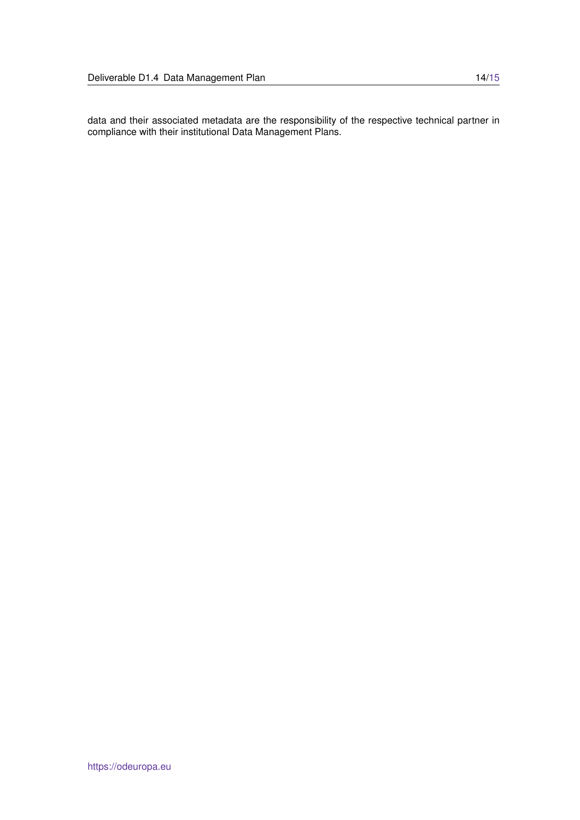data and their associated metadata are the responsibility of the respective technical partner in compliance with their institutional Data Management Plans.